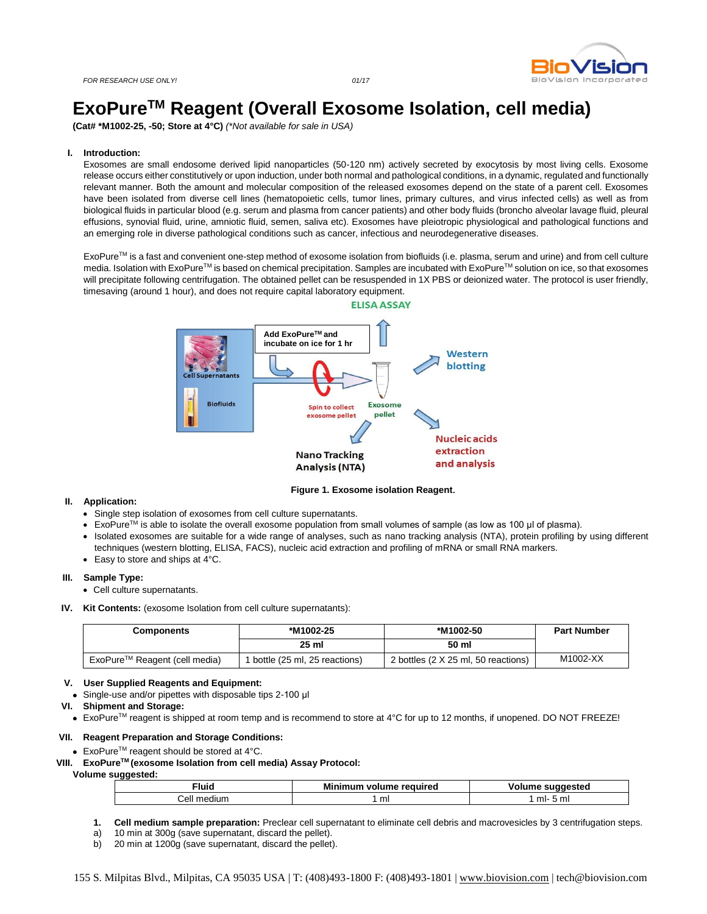

# **ExoPureTM Reagent (Overall Exosome Isolation, cell media)**

**(Cat# \*M1002-25, -50; Store at 4°C)** *(\*Not available for sale in USA)*

#### **I. Introduction:**

Exosomes are small endosome derived lipid nanoparticles (50-120 nm) actively secreted by exocytosis by most living cells. Exosome release occurs either constitutively or upon induction, under both normal and pathological conditions, in a dynamic, regulated and functionally relevant manner. Both the amount and molecular composition of the released exosomes depend on the state of a parent cell. Exosomes have been isolated from diverse cell lines (hematopoietic cells, tumor lines, primary cultures, and virus infected cells) as well as from biological fluids in particular blood (e.g. serum and plasma from cancer patients) and other body fluids (broncho alveolar lavage fluid, pleural effusions, synovial fluid, urine, amniotic fluid, semen, saliva etc). Exosomes have pleiotropic physiological and pathological functions and an emerging role in diverse pathological conditions such as cancer, infectious and neurodegenerative diseases.

ExoPureTM is a fast and convenient one-step method of exosome isolation from biofluids (i.e. plasma, serum and urine) and from cell culture media. Isolation with ExoPure™ is based on chemical precipitation. Samples are incubated with ExoPure™ solution on ice, so that exosomes will precipitate following centrifugation. The obtained pellet can be resuspended in 1X PBS or deionized water. The protocol is user friendly, timesaving (around 1 hour), and does not require capital laboratory equipment.



#### **Figure 1. Exosome isolation Reagent**.

#### **II. Application:**

- Single step isolation of exosomes from cell culture supernatants.
- ExoPureTM is able to isolate the overall exosome population from small volumes of sample (as low as 100 μl of plasma).
- Isolated exosomes are suitable for a wide range of analyses, such as nano tracking analysis (NTA), protein profiling by using different techniques (western blotting, ELISA, FACS), nucleic acid extraction and profiling of mRNA or small RNA markers.
- Easy to store and ships at 4°C.

#### **III. Sample Type:**

- Cell culture supernatants.
- **IV. Kit Contents:** (exosome Isolation from cell culture supernatants):

| Components                                | *M1002-25                    | *M1002-50                           | <b>Part Number</b> |  |  |
|-------------------------------------------|------------------------------|-------------------------------------|--------------------|--|--|
|                                           | 25 ml                        | 50 ml                               |                    |  |  |
| ExoPure <sup>™</sup> Reagent (cell media) | bottle (25 ml, 25 reactions) | 2 bottles (2 X 25 ml, 50 reactions) | M1002-XX           |  |  |

#### **V. User Supplied Reagents and Equipment:**

Single-use and/or pipettes with disposable tips 2-100 μl

#### **VI. Shipment and Storage:**

■ ExoPure<sup>™</sup> reagent is shipped at room temp and is recommend to store at 4°C for up to 12 months, if unopened. DO NOT FREEZE!

#### **VII. Reagent Preparation and Storage Conditions:**

 $\bullet$  ExoPure<sup>TM</sup> reagent should be stored at 4°C.

# **VIII. ExoPureTM (exosome Isolation from cell media) Assay Protocol:**

# **Volume suggested:**

| luid:       | Minimum volume required | Volume suggested |  |  |  |
|-------------|-------------------------|------------------|--|--|--|
| Cell medium | mi                      | -5 mi<br>ml-     |  |  |  |

- **1. Cell medium sample preparation:** Preclear cell supernatant to eliminate cell debris and macrovesicles by 3 centrifugation steps.
- a) 10 min at 300g (save supernatant, discard the pellet).
- b) 20 min at 1200g (save supernatant, discard the pellet).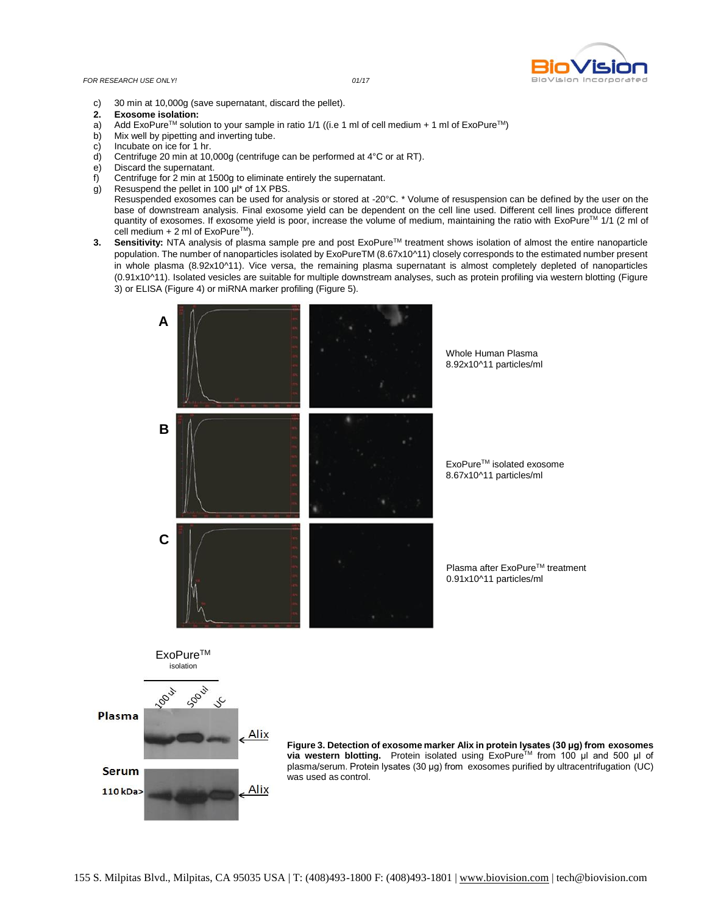### *FOR RESEARCH USE ONLY! 01/17*



- c) 30 min at 10,000g (save supernatant, discard the pellet).
- **2. Exosome isolation:**
- Add ExoPure<sup>TM</sup> solution to your sample in ratio 1/1 ((i.e 1 ml of cell medium + 1 ml of ExoPure<sup>TM</sup>)
- b) Mix well by pipetting and inverting tube.
- c) Incubate on ice for 1 hr.<br>d) Centrifuge 20 min at 10,
- Centrifuge 20 min at 10,000g (centrifuge can be performed at 4°C or at RT).
- e) Discard the supernatant.
- f) Centrifuge for 2 min at 1500g to eliminate entirely the supernatant.
- g) Resuspend the pellet in 100 μl\* of 1X PBS.
- Resuspended exosomes can be used for analysis or stored at -20°C. \* Volume of resuspension can be defined by the user on the base of downstream analysis. Final exosome yield can be dependent on the cell line used. Different cell lines produce different quantity of exosomes. If exosome yield is poor, increase the volume of medium, maintaining the ratio with ExoPure™ 1/1 (2 ml of cell medium  $+ 2$  ml of ExoPure<sup>TM</sup>).
- **3.** Sensitivity: NTA analysis of plasma sample pre and post ExoPure™ treatment shows isolation of almost the entire nanoparticle population. The number of nanoparticles isolated by ExoPureTM (8.67x10^11) closely corresponds to the estimated number present in whole plasma (8.92x10^11). Vice versa, the remaining plasma supernatant is almost completely depleted of nanoparticles (0.91x10^11). Isolated vesicles are suitable for multiple downstream analyses, such as protein profiling via western blotting (Figure 3) or ELISA (Figure 4) or miRNA marker profiling (Figure 5).